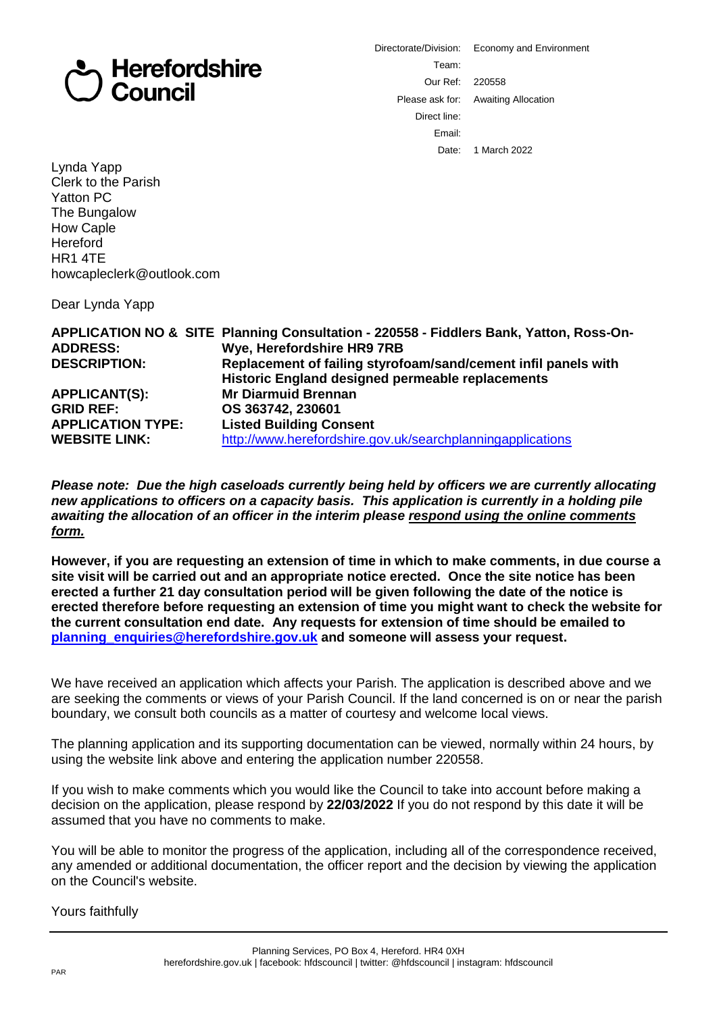## **Herefordshire** Council

Directorate/Division: Economy and Environment Team: Our Ref: 220558 Please ask for: Awaiting Allocation Direct line: Email: Date: 1 March 2022

Lynda Yapp Clerk to the Parish Yatton PC The Bungalow How Caple **Hereford** HR1 4TE howcapleclerk@outlook.com

Dear Lynda Yapp

| <b>ADDRESS:</b>          | APPLICATION NO & SITE Planning Consultation - 220558 - Fiddlers Bank, Yatton, Ross-On-<br>Wye, Herefordshire HR9 7RB |
|--------------------------|----------------------------------------------------------------------------------------------------------------------|
| <b>DESCRIPTION:</b>      | Replacement of failing styrofoam/sand/cement infil panels with<br>Historic England designed permeable replacements   |
| <b>APPLICANT(S):</b>     | <b>Mr Diarmuid Brennan</b>                                                                                           |
| <b>GRID REF:</b>         | OS 363742, 230601                                                                                                    |
| <b>APPLICATION TYPE:</b> | <b>Listed Building Consent</b>                                                                                       |
| <b>WEBSITE LINK:</b>     | http://www.herefordshire.gov.uk/searchplanningapplications                                                           |

*Please note: Due the high caseloads currently being held by officers we are currently allocating new applications to officers on a capacity basis. This application is currently in a holding pile awaiting the allocation of an officer in the interim please respond using the online comments form.*

**However, if you are requesting an extension of time in which to make comments, in due course a site visit will be carried out and an appropriate notice erected. Once the site notice has been erected a further 21 day consultation period will be given following the date of the notice is erected therefore before requesting an extension of time you might want to check the website for the current consultation end date. Any requests for extension of time should be emailed to planning\_enquiries@herefordshire.gov.uk and someone will assess your request.**

We have received an application which affects your Parish. The application is described above and we are seeking the comments or views of your Parish Council. If the land concerned is on or near the parish boundary, we consult both councils as a matter of courtesy and welcome local views.

The planning application and its supporting documentation can be viewed, normally within 24 hours, by using the website link above and entering the application number 220558.

If you wish to make comments which you would like the Council to take into account before making a decision on the application, please respond by **22/03/2022** If you do not respond by this date it will be assumed that you have no comments to make.

You will be able to monitor the progress of the application, including all of the correspondence received, any amended or additional documentation, the officer report and the decision by viewing the application on the Council's website.

Yours faithfully